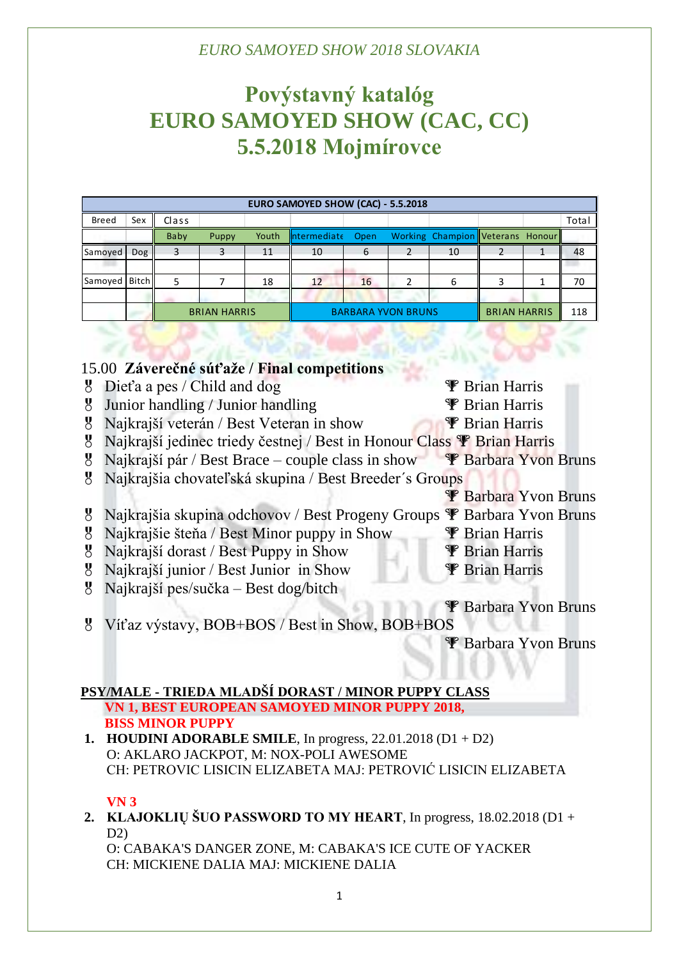# **Povýstavný katalóg EURO SAMOYED SHOW (CAC, CC) 5.5.2018 Mojmírovce**

| EURO SAMOYED SHOW (CAC) - 5.5.2018 |            |                     |       |       |                           |    |  |                                  |                     |  |       |
|------------------------------------|------------|---------------------|-------|-------|---------------------------|----|--|----------------------------------|---------------------|--|-------|
| Breed                              | Sex        | Class               |       |       |                           |    |  |                                  |                     |  | Total |
|                                    |            | Baby                | Puppy | Youth | Intermediate Open         |    |  | Working Champion Veterans Honour |                     |  |       |
| Samoyed                            | <b>Dog</b> |                     | 3     | 11    | 10                        | 6  |  | 10                               |                     |  | 48    |
|                                    |            |                     |       |       |                           |    |  |                                  |                     |  |       |
| Samoyed Bitch                      |            |                     |       | 18    | 12                        | 16 |  | 6                                |                     |  | 70    |
|                                    |            |                     |       |       |                           |    |  |                                  |                     |  |       |
|                                    |            | <b>BRIAN HARRIS</b> |       |       | <b>BARBARA YVON BRUNS</b> |    |  |                                  | <b>BRIAN HARRIS</b> |  | 118   |

## 15.00 **Záverečné súťaže / Final competitions**

 $\frac{1}{2}$  Dieťa a pes / Child and dog  $\frac{1}{2}$  Brian Harris  $\frac{1}{2}$  Junior handling / Junior handling  $\frac{1}{2}$  Brian Harris  $\mathcal{B}$  Najkrajší veterán / Best Veteran in show  $\mathcal{F}$  Brian Harris 8 Najkrajší jedinec triedy čestnej / Best in Honour Class <sup>T</sup> Brian Harris  $\overline{8}$  Najkrajší pár / Best Brace – couple class in show  $\overline{\mathscr{F}}$  Barbara Yvon Bruns Najkrajšia chovateľská skupina / Best Breeder´s Groups **P** Barbara Yvon Bruns  $\mathcal{B}$  Najkrajšia skupina odchovov / Best Progeny Groups  $\mathcal{F}$  Barbara Yvon Bruns  $\overline{8}$  Najkrajšie šteňa / Best Minor puppy in Show  $\overline{\mathscr{F}}$  Brian Harris 8 Najkrajší dorast / Best Puppy in Show **P** Brian Harris <sup>8</sup> Najkrajší junior / Best Junior in Show **P** Brian Harris Najkrajší pes/sučka – Best dog/bitch Barbara Yvon Bruns Víťaz výstavy, BOB+BOS / Best in Show, BOB+BOS Barbara Yvon Bruns

#### **PSY/MALE - TRIEDA MLADŠÍ DORAST / MINOR PUPPY CLASS VN 1, BEST EUROPEAN SAMOYED MINOR PUPPY 2018,**

# **BISS MINOR PUPPY**

**1. HOUDINI ADORABLE SMILE**, In progress, 22.01.2018 (D1 + D2) O: AKLARO JACKPOT, M: NOX-POLI AWESOME CH: PETROVIC LISICIN ELIZABETA MAJ: PETROVIĆ LISICIN ELIZABETA

### **VN 3**

**2. KLAJOKLIŲ ŠUO PASSWORD TO MY HEART**, In progress, 18.02.2018 (D1 + D2)

O: CABAKA'S DANGER ZONE, M: CABAKA'S ICE CUTE OF YACKER CH: MICKIENE DALIA MAJ: MICKIENE DALIA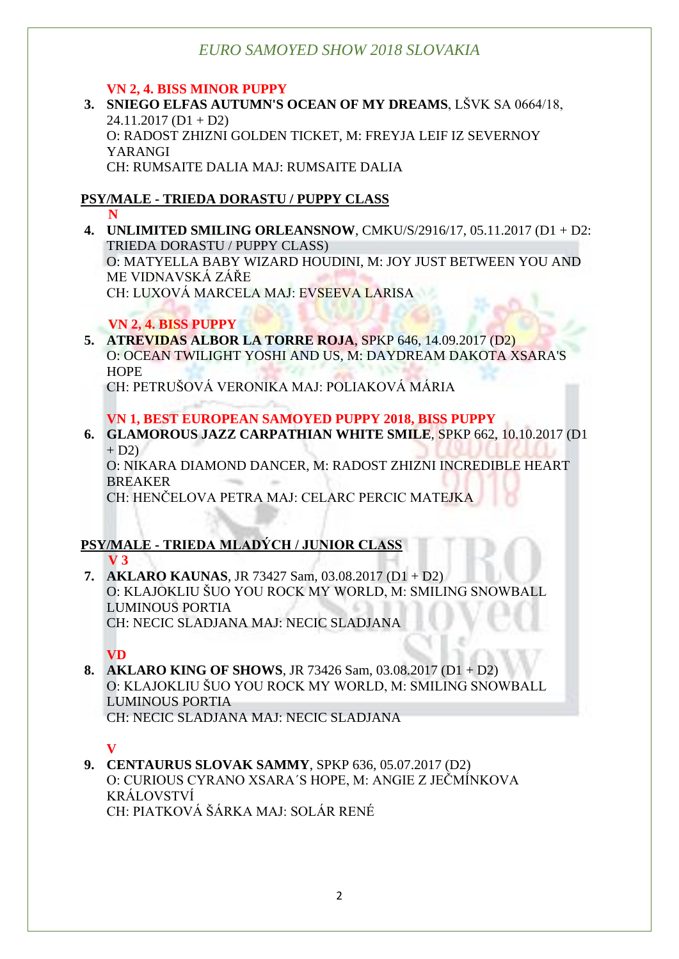### **VN 2, 4. BISS MINOR PUPPY**

**3. SNIEGO ELFAS AUTUMN'S OCEAN OF MY DREAMS**, LŠVK SA 0664/18,  $24.11.2017$  (D1 + D2) O: RADOST ZHIZNI GOLDEN TICKET, M: FREYJA LEIF IZ SEVERNOY YARANGI CH: RUMSAITE DALIA MAJ: RUMSAITE DALIA

## **PSY/MALE - TRIEDA DORASTU / PUPPY CLASS**

 **N**

**4. UNLIMITED SMILING ORLEANSNOW**, CMKU/S/2916/17, 05.11.2017 (D1 + D2: TRIEDA DORASTU / PUPPY CLASS)

O: MATYELLA BABY WIZARD HOUDINI, M: JOY JUST BETWEEN YOU AND ME VIDNAVSKÁ ZÁŘE

CH: LUXOVÁ MARCELA MAJ: EVSEEVA LARISA

## **VN 2, 4. BISS PUPPY**

**5. ATREVIDAS ALBOR LA TORRE ROJA**, SPKP 646, 14.09.2017 (D2) O: OCEAN TWILIGHT YOSHI AND US, M: DAYDREAM DAKOTA XSARA'S **HOPE** CH: PETRUŠOVÁ VERONIKA MAJ: POLIAKOVÁ MÁRIA

**VN 1, BEST EUROPEAN SAMOYED PUPPY 2018, BISS PUPPY 6. GLAMOROUS JAZZ CARPATHIAN WHITE SMILE**, SPKP 662, 10.10.2017 (D1

 $+ D2$ O: NIKARA DIAMOND DANCER, M: RADOST ZHIZNI INCREDIBLE HEART **BREAKER** 

CH: HENČELOVA PETRA MAJ: CELARC PERCIC MATEJKA

## **PSY/MALE - TRIEDA MLADÝCH / JUNIOR CLASS V 3**

**7. AKLARO KAUNAS**, JR 73427 Sam, 03.08.2017 (D1 + D2) O: KLAJOKLIU ŠUO YOU ROCK MY WORLD, M: SMILING SNOWBALL LUMINOUS PORTIA CH: NECIC SLADJANA MAJ: NECIC SLADJANA

## **VD**

**8. AKLARO KING OF SHOWS**, JR 73426 Sam, 03.08.2017 (D1 + D2) O: KLAJOKLIU ŠUO YOU ROCK MY WORLD, M: SMILING SNOWBALL LUMINOUS PORTIA CH: NECIC SLADJANA MAJ: NECIC SLADJANA

**V**

**9. CENTAURUS SLOVAK SAMMY**, SPKP 636, 05.07.2017 (D2) O: CURIOUS CYRANO XSARA´S HOPE, M: ANGIE Z JEČMÍNKOVA KRÁLOVSTVÍ CH: PIATKOVÁ ŠÁRKA MAJ: SOLÁR RENÉ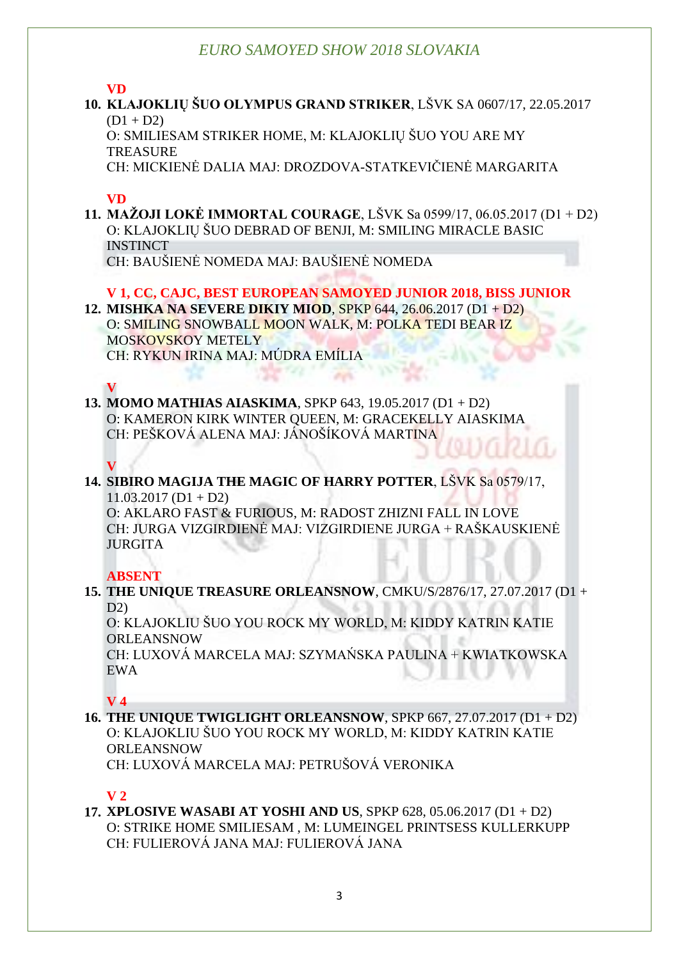#### **VD**

**10. KLAJOKLIŲ ŠUO OLYMPUS GRAND STRIKER**, LŠVK SA 0607/17, 22.05.2017  $(D1 + D2)$ 

O: SMILIESAM STRIKER HOME, M: KLAJOKLIŲ ŠUO YOU ARE MY **TREASURE** 

CH: MICKIENĖ DALIA MAJ: DROZDOVA-STATKEVIČIENĖ MARGARITA

## **VD**

**11. MAŽOJI LOKĖ IMMORTAL COURAGE**, LŠVK Sa 0599/17, 06.05.2017 (D1 + D2) O: KLAJOKLIŲ ŠUO DEBRAD OF BENJI, M: SMILING MIRACLE BASIC **INSTINCT** CH: BAUŠIENĖ NOMEDA MAJ: BAUŠIENĖ NOMEDA

## **V 1, CC, CAJC, BEST EUROPEAN SAMOYED JUNIOR 2018, BISS JUNIOR**

**12. MISHKA NA SEVERE DIKIY MIOD**, SPKP 644, 26.06.2017 (D1 + D2) O: SMILING SNOWBALL MOON WALK, M: POLKA TEDI BEAR IZ MOSKOVSKOY METELY CH: RYKUN IRINA MAJ: MÚDRA EMÍLIA

## **V**

**13. MOMO MATHIAS AIASKIMA**, SPKP 643, 19.05.2017 (D1 + D2) O: KAMERON KIRK WINTER QUEEN, M: GRACEKELLY AIASKIMA CH: PEŠKOVÁ ALENA MAJ: JÁNOŠÍKOVÁ MARTINA

## **V**

**14. SIBIRO MAGIJA THE MAGIC OF HARRY POTTER**, LŠVK Sa 0579/17,  $11.03.2017$  (D1 + D2)

O: AKLARO FAST & FURIOUS, M: RADOST ZHIZNI FALL IN LOVE CH: JURGA VIZGIRDIENĖ MAJ: VIZGIRDIENE JURGA + RAŠKAUSKIENĖ JURGITA

**ABSENT**

**15. THE UNIQUE TREASURE ORLEANSNOW**, CMKU/S/2876/17, 27.07.2017 (D1 + D2)

O: KLAJOKLIU ŠUO YOU ROCK MY WORLD, M: KIDDY KATRIN KATIE ORLEANSNOW

CH: LUXOVÁ MARCELA MAJ: SZYMAŃSKA PAULINA + KWIATKOWSKA EWA

### **V 4**

**16. THE UNIQUE TWIGLIGHT ORLEANSNOW**, SPKP 667, 27.07.2017 (D1 + D2) O: KLAJOKLIU ŠUO YOU ROCK MY WORLD, M: KIDDY KATRIN KATIE ORLEANSNOW

CH: LUXOVÁ MARCELA MAJ: PETRUŠOVÁ VERONIKA

### **V 2**

**17. XPLOSIVE WASABI AT YOSHI AND US**, SPKP 628, 05.06.2017 (D1 + D2) O: STRIKE HOME SMILIESAM , M: LUMEINGEL PRINTSESS KULLERKUPP CH: FULIEROVÁ JANA MAJ: FULIEROVÁ JANA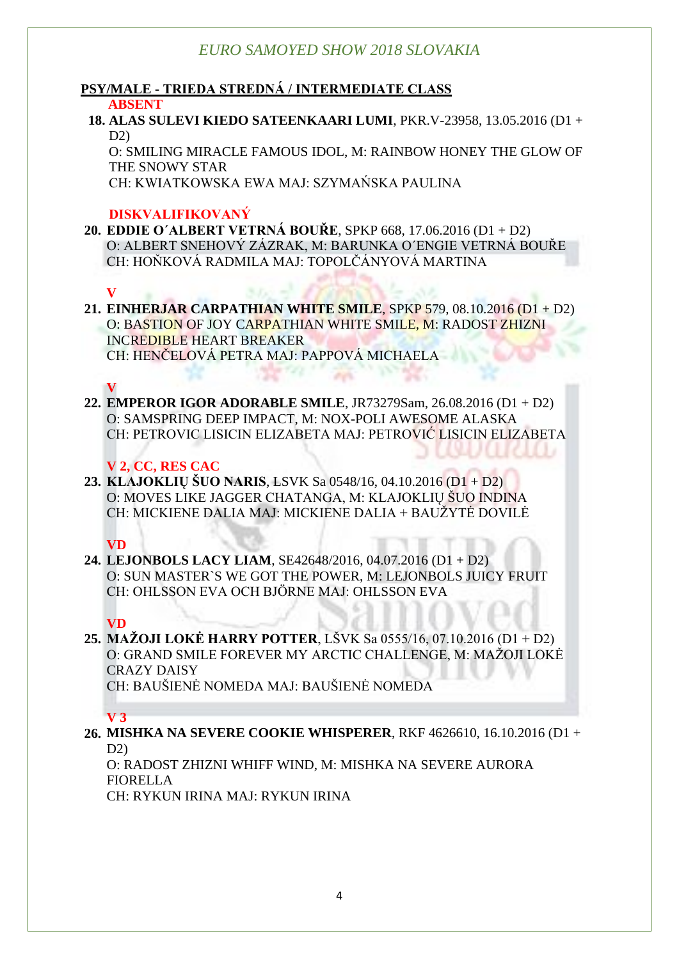## **PSY/MALE - TRIEDA STREDNÁ / INTERMEDIATE CLASS**

#### **ABSENT**

#### **18. ALAS SULEVI KIEDO SATEENKAARI LUMI**, PKR.V-23958, 13.05.2016 (D1 +  $D2$

O: SMILING MIRACLE FAMOUS IDOL, M: RAINBOW HONEY THE GLOW OF THE SNOWY STAR

CH: KWIATKOWSKA EWA MAJ: SZYMAŃSKA PAULINA

## **DISKVALIFIKOVANÝ**

**20. EDDIE O´ALBERT VETRNÁ BOUŘE**, SPKP 668, 17.06.2016 (D1 + D2) O: ALBERT SNEHOVÝ ZÁZRAK, M: BARUNKA O´ENGIE VETRNÁ BOUŘE CH: HOŇKOVÁ RADMILA MAJ: TOPOLČÁNYOVÁ MARTINA

### **V**

**21. EINHERJAR CARPATHIAN WHITE SMILE**, SPKP 579, 08.10.2016 (D1 + D2) O: BASTION OF JOY CARPATHIAN WHITE SMILE, M: RADOST ZHIZNI INCREDIBLE HEART BREAKER CH: HENČELOVÁ PETRA MAJ: PAPPOVÁ MICHAELA

## **V**

**22. EMPEROR IGOR ADORABLE SMILE**, JR73279Sam, 26.08.2016 (D1 + D2) O: SAMSPRING DEEP IMPACT, M: NOX-POLI AWESOME ALASKA CH: PETROVIC LISICIN ELIZABETA MAJ: PETROVIĆ LISICIN ELIZABETA

## **V 2, CC, RES CAC**

**23. KLAJOKLIŲ ŠUO NARIS**, LSVK Sa 0548/16, 04.10.2016 (D1 + D2) O: MOVES LIKE JAGGER CHATANGA, M: KLAJOKLIŲ ŠUO INDINA CH: MICKIENE DALIA MAJ: MICKIENE DALIA + BAUŽYTĖ DOVILĖ

### **VD**

**24. LEJONBOLS LACY LIAM**, SE42648/2016, 04.07.2016 (D1 + D2) O: SUN MASTER`S WE GOT THE POWER, M: LEJONBOLS JUICY FRUIT CH: OHLSSON EVA OCH BJÖRNE MAJ: OHLSSON EVA

## **VD**

**25. MAŽOJI LOKĖ HARRY POTTER**, LŠVK Sa 0555/16, 07.10.2016 (D1 + D2) O: GRAND SMILE FOREVER MY ARCTIC CHALLENGE, M: MAŽOJI LOKĖ CRAZY DAISY

CH: BAUŠIENĖ NOMEDA MAJ: BAUŠIENĖ NOMEDA

### **V 3**

#### **26. MISHKA NA SEVERE COOKIE WHISPERER**, RKF 4626610, 16.10.2016 (D1 + D2)

O: RADOST ZHIZNI WHIFF WIND, M: MISHKA NA SEVERE AURORA FIORELLA

CH: RYKUN IRINA MAJ: RYKUN IRINA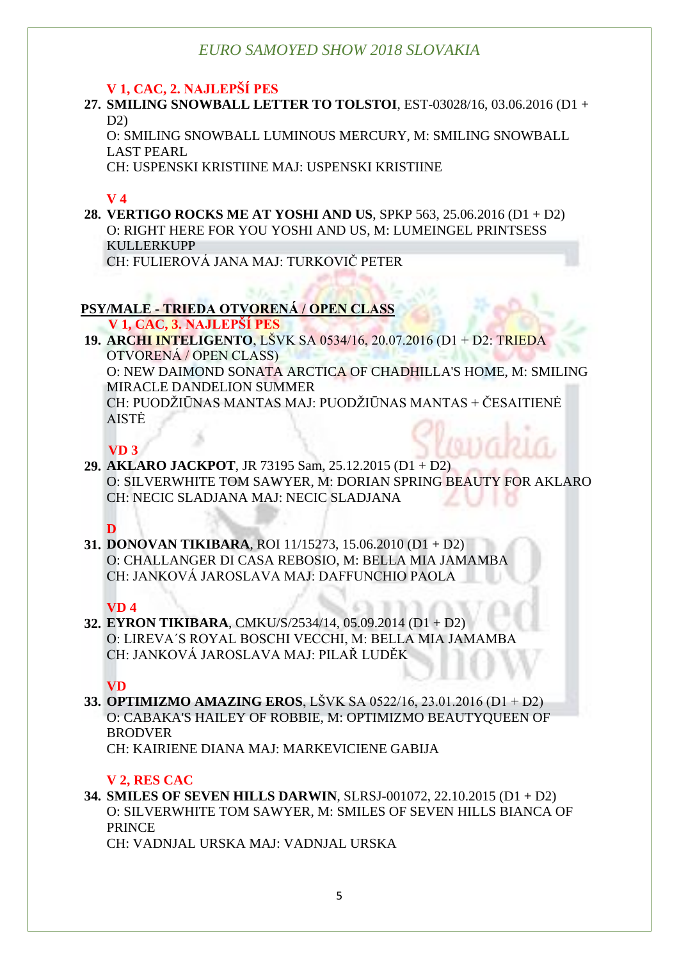## **V 1, CAC, 2. NAJLEPŠÍ PES**

**27. SMILING SNOWBALL LETTER TO TOLSTOI**, EST-03028/16, 03.06.2016 (D1 +  $D2$ 

O: SMILING SNOWBALL LUMINOUS MERCURY, M: SMILING SNOWBALL LAST PEARL

CH: USPENSKI KRISTIINE MAJ: USPENSKI KRISTIINE

## **V 4**

**28. VERTIGO ROCKS ME AT YOSHI AND US**, SPKP 563, 25.06.2016 (D1 + D2) O: RIGHT HERE FOR YOU YOSHI AND US, M: LUMEINGEL PRINTSESS KULLERKUPP CH: FULIEROVÁ JANA MAJ: TURKOVIČ PETER

## **PSY/MALE - TRIEDA OTVORENÁ / OPEN CLASS**

 **V 1, CAC, 3. NAJLEPŠÍ PES**

**19. ARCHI INTELIGENTO**, LŠVK SA 0534/16, 20.07.2016 (D1 + D2: TRIEDA OTVORENÁ / OPEN CLASS) O: NEW DAIMOND SONATA ARCTICA OF CHADHILLA'S HOME, M: SMILING MIRACLE DANDELION SUMMER CH: PUODŽIŪNAS MANTAS MAJ: PUODŽIŪNAS MANTAS + ČESAITIENĖ AISTĖ

## **VD 3**

**29. AKLARO JACKPOT**, JR 73195 Sam, 25.12.2015 (D1 + D2) O: SILVERWHITE TOM SAWYER, M: DORIAN SPRING BEAUTY FOR AKLARO CH: NECIC SLADJANA MAJ: NECIC SLADJANA

**D**

**31. DONOVAN TIKIBARA**, ROI 11/15273, 15.06.2010 (D1 + D2) O: CHALLANGER DI CASA REBOSIO, M: BELLA MIA JAMAMBA CH: JANKOVÁ JAROSLAVA MAJ: DAFFUNCHIO PAOLA

## **VD 4**

**32. EYRON TIKIBARA**, CMKU/S/2534/14, 05.09.2014 (D1 + D2) O: LIREVA´S ROYAL BOSCHI VECCHI, M: BELLA MIA JAMAMBA CH: JANKOVÁ JAROSLAVA MAJ: PILAŘ LUDĚK

**VD**

**33. OPTIMIZMO AMAZING EROS**, LŠVK SA 0522/16, 23.01.2016 (D1 + D2) O: CABAKA'S HAILEY OF ROBBIE, M: OPTIMIZMO BEAUTYQUEEN OF **BRODVER** CH: KAIRIENE DIANA MAJ: MARKEVICIENE GABIJA

## **V 2, RES CAC**

**34. SMILES OF SEVEN HILLS DARWIN**, SLRSJ-001072, 22.10.2015 (D1 + D2) O: SILVERWHITE TOM SAWYER, M: SMILES OF SEVEN HILLS BIANCA OF PRINCE

CH: VADNJAL URSKA MAJ: VADNJAL URSKA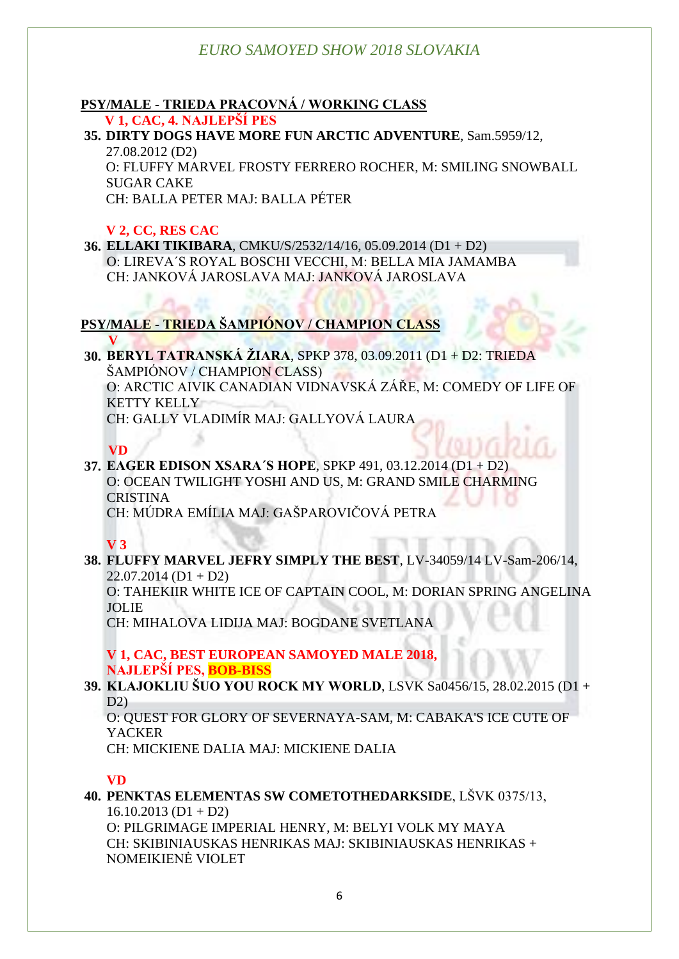#### **PSY/MALE - TRIEDA PRACOVNÁ / WORKING CLASS V 1, CAC, 4. NAJLEPŠÍ PES**

**35. DIRTY DOGS HAVE MORE FUN ARCTIC ADVENTURE**, Sam.5959/12, 27.08.2012 (D2) O: FLUFFY MARVEL FROSTY FERRERO ROCHER, M: SMILING SNOWBALL SUGAR CAKE CH: BALLA PETER MAJ: BALLA PÉTER

## **V 2, CC, RES CAC**

**36. ELLAKI TIKIBARA**, CMKU/S/2532/14/16, 05.09.2014 (D1 + D2) O: LIREVA´S ROYAL BOSCHI VECCHI, M: BELLA MIA JAMAMBA CH: JANKOVÁ JAROSLAVA MAJ: JANKOVÁ JAROSLAVA

## **PSY/MALE - TRIEDA ŠAMPIÓNOV / CHAMPION CLASS**

 **V 30. BERYL TATRANSKÁ ŽIARA**, SPKP 378, 03.09.2011 (D1 + D2: TRIEDA ŠAMPIÓNOV / CHAMPION CLASS) O: ARCTIC AIVIK CANADIAN VIDNAVSKÁ ZÁŘE, M: COMEDY OF LIFE OF KETTY KELLY CH: GALLY VLADIMÍR MAJ: GALLYOVÁ LAURA

 **VD**

**37. EAGER EDISON XSARA´S HOPE**, SPKP 491, 03.12.2014 (D1 + D2) O: OCEAN TWILIGHT YOSHI AND US, M: GRAND SMILE CHARMING **CRISTINA** 

CH: MÚDRA EMÍLIA MAJ: GAŠPAROVIČOVÁ PETRA

**V 3**

**38. FLUFFY MARVEL JEFRY SIMPLY THE BEST**, LV-34059/14 LV-Sam-206/14,  $22.07.2014$  (D1 + D2)

O: TAHEKIIR WHITE ICE OF CAPTAIN COOL, M: DORIAN SPRING ANGELINA JOLIE

CH: MIHALOVA LIDIJA MAJ: BOGDANE SVETLANA

**V 1, CAC, BEST EUROPEAN SAMOYED MALE 2018, NAJLEPŠÍ PES, BOB-BISS**

**39. KLAJOKLIU ŠUO YOU ROCK MY WORLD**, LSVK Sa0456/15, 28.02.2015 (D1 + D2)

O: QUEST FOR GLORY OF SEVERNAYA-SAM, M: CABAKA'S ICE CUTE OF **YACKER** 

CH: MICKIENE DALIA MAJ: MICKIENE DALIA

### **VD**

**40. PENKTAS ELEMENTAS SW COMETOTHEDARKSIDE**, LŠVK 0375/13,  $16.10.2013$  (D1 + D2)

O: PILGRIMAGE IMPERIAL HENRY, M: BELYI VOLK MY MAYA CH: SKIBINIAUSKAS HENRIKAS MAJ: SKIBINIAUSKAS HENRIKAS + NOMEIKIENĖ VIOLET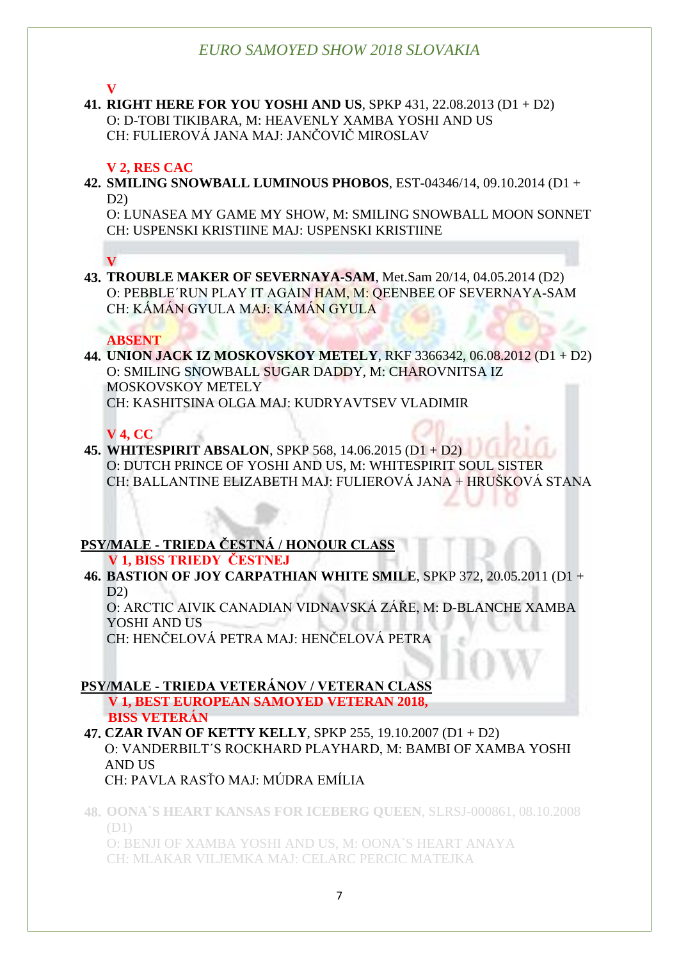**V**

**41. RIGHT HERE FOR YOU YOSHI AND US**, SPKP 431, 22.08.2013 (D1 + D2) O: D-TOBI TIKIBARA, M: HEAVENLY XAMBA YOSHI AND US CH: FULIEROVÁ JANA MAJ: JANČOVIČ MIROSLAV

#### **V 2, RES CAC**

**42. SMILING SNOWBALL LUMINOUS PHOBOS**, EST-04346/14, 09.10.2014 (D1 +  $D2$ 

O: LUNASEA MY GAME MY SHOW, M: SMILING SNOWBALL MOON SONNET CH: USPENSKI KRISTIINE MAJ: USPENSKI KRISTIINE

**V**

**43. TROUBLE MAKER OF SEVERNAYA-SAM**, Met.Sam 20/14, 04.05.2014 (D2) O: PEBBLE´RUN PLAY IT AGAIN HAM, M: QEENBEE OF SEVERNAYA-SAM CH: KÁMÁN GYULA MAJ: KÁMÁN GYULA

#### **ABSENT**

**44. UNION JACK IZ MOSKOVSKOY METELY**, RKF 3366342, 06.08.2012 (D1 + D2) O: SMILING SNOWBALL SUGAR DADDY, M: CHAROVNITSA IZ MOSKOVSKOY METELY CH: KASHITSINA OLGA MAJ: KUDRYAVTSEV VLADIMIR

#### **V 4, CC**

**45. WHITESPIRIT ABSALON**, SPKP 568, 14.06.2015 (D1 + D2) O: DUTCH PRINCE OF YOSHI AND US, M: WHITESPIRIT SOUL SISTER CH: BALLANTINE ELIZABETH MAJ: FULIEROVÁ JANA + HRUŠKOVÁ STANA

## **PSY/MALE - TRIEDA ČESTNÁ / HONOUR CLASS**

 **V 1, BISS TRIEDY ČESTNEJ**

**46. BASTION OF JOY CARPATHIAN WHITE SMILE**, SPKP 372, 20.05.2011 (D1 + D2)

O: ARCTIC AIVIK CANADIAN VIDNAVSKÁ ZÁŘE, M: D-BLANCHE XAMBA YOSHI AND US

CH: HENČELOVÁ PETRA MAJ: HENČELOVÁ PETRA

### **PSY/MALE - TRIEDA VETERÁNOV / VETERAN CLASS**

 **V 1, BEST EUROPEAN SAMOYED VETERAN 2018, BISS VETERÁN**

**47. CZAR IVAN OF KETTY KELLY**, SPKP 255, 19.10.2007 (D1 + D2) O: VANDERBILT´S ROCKHARD PLAYHARD, M: BAMBI OF XAMBA YOSHI AND US

## CH: PAVLA RASŤO MAJ: MÚDRA EMÍLIA

**48. OONA`S HEART KANSAS FOR ICEBERG QUEEN**, SLRSJ-000861, 08.10.2008 (D1)

O: BENJI OF XAMBA YOSHI AND US, M: OONA`S HEART ANAYA CH: MLAKAR VILJEMKA MAJ: CELARC PERCIC MATEJKA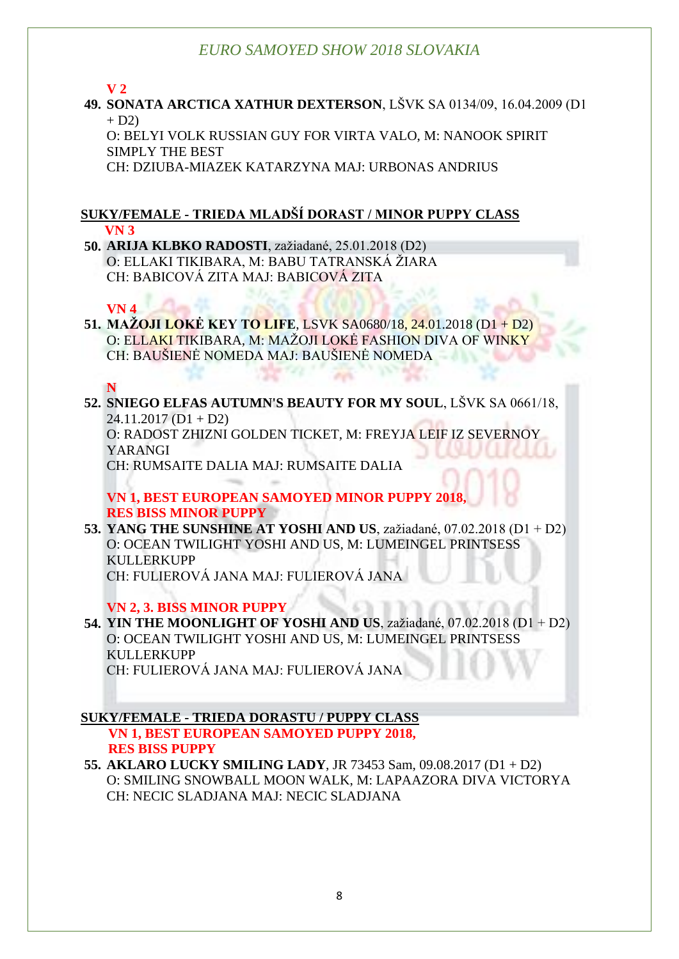**V 2**

**49. SONATA ARCTICA XATHUR DEXTERSON**, LŠVK SA 0134/09, 16.04.2009 (D1  $+ D2$ 

O: BELYI VOLK RUSSIAN GUY FOR VIRTA VALO, M: NANOOK SPIRIT SIMPLY THE BEST

CH: DZIUBA-MIAZEK KATARZYNA MAJ: URBONAS ANDRIUS

#### **SUKY/FEMALE - TRIEDA MLADŠÍ DORAST / MINOR PUPPY CLASS VN 3**

**50. ARIJA KLBKO RADOSTI**, zažiadané, 25.01.2018 (D2) O: ELLAKI TIKIBARA, M: BABU TATRANSKÁ ŽIARA CH: BABICOVÁ ZITA MAJ: BABICOVÁ ZITA

#### **VN 4**

**51. MAŽOJI LOKĖ KEY TO LIFE**, LSVK SA0680/18, 24.01.2018 (D1 + D2) O: ELLAKI TIKIBARA, M: MAŽOJI LOKĖ FASHION DIVA OF WINKY CH: BAUŠIENĖ NOMEDA MAJ: BAUŠIENĖ NOMEDA

**N**

**52. SNIEGO ELFAS AUTUMN'S BEAUTY FOR MY SOUL**, LŠVK SA 0661/18,  $24.11.2017$  (D1 + D2) O: RADOST ZHIZNI GOLDEN TICKET, M: FREYJA LEIF IZ SEVERNOY YARANGI CH: RUMSAITE DALIA MAJ: RUMSAITE DALIA

**VN 1, BEST EUROPEAN SAMOYED MINOR PUPPY 2018, RES BISS MINOR PUPPY**

**53. YANG THE SUNSHINE AT YOSHI AND US**, zažiadané, 07.02.2018 (D1 + D2) O: OCEAN TWILIGHT YOSHI AND US, M: LUMEINGEL PRINTSESS KULLERKUPP CH: FULIEROVÁ JANA MAJ: FULIEROVÁ JANA

**VN 2, 3. BISS MINOR PUPPY**

**54. YIN THE MOONLIGHT OF YOSHI AND US**, zažiadané, 07.02.2018 (D1 + D2) O: OCEAN TWILIGHT YOSHI AND US, M: LUMEINGEL PRINTSESS KULLERKUPP CH: FULIEROVÁ JANA MAJ: FULIEROVÁ JANA

**SUKY/FEMALE - TRIEDA DORASTU / PUPPY CLASS VN 1, BEST EUROPEAN SAMOYED PUPPY 2018, RES BISS PUPPY**

**55. AKLARO LUCKY SMILING LADY**, JR 73453 Sam, 09.08.2017 (D1 + D2) O: SMILING SNOWBALL MOON WALK, M: LAPAAZORA DIVA VICTORYA CH: NECIC SLADJANA MAJ: NECIC SLADJANA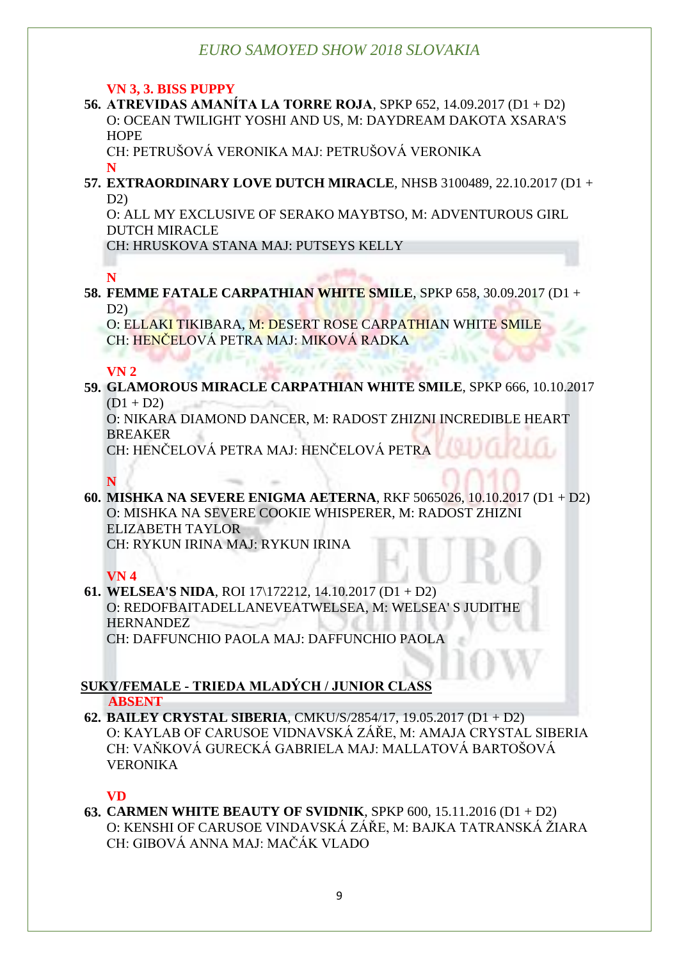#### **VN 3, 3. BISS PUPPY**

**56. ATREVIDAS AMANÍTA LA TORRE ROJA**, SPKP 652, 14.09.2017 (D1 + D2) O: OCEAN TWILIGHT YOSHI AND US, M: DAYDREAM DAKOTA XSARA'S **HOPE** 

CH: PETRUŠOVÁ VERONIKA MAJ: PETRUŠOVÁ VERONIKA

**N**

**57. EXTRAORDINARY LOVE DUTCH MIRACLE**, NHSB 3100489, 22.10.2017 (D1 +  $D2$ 

O: ALL MY EXCLUSIVE OF SERAKO MAYBTSO, M: ADVENTUROUS GIRL DUTCH MIRACLE

CH: HRUSKOVA STANA MAJ: PUTSEYS KELLY

## **N**

**58. FEMME FATALE CARPATHIAN WHITE SMILE**, SPKP 658, 30.09.2017 (D1 + D2)

O: ELLAKI TIKIBARA, M: DESERT ROSE CARPATHIAN WHITE SMILE CH: HENČELOVÁ PETRA MAJ: MIKOVÁ RADKA

### **VN 2**

**59. GLAMOROUS MIRACLE CARPATHIAN WHITE SMILE**, SPKP 666, 10.10.2017  $(D1 + D2)$ 

O: NIKARA DIAMOND DANCER, M: RADOST ZHIZNI INCREDIBLE HEART BREAKER

CH: HENČELOVÁ PETRA MAJ: HENČELOVÁ PETRA

## **N**

**60. MISHKA NA SEVERE ENIGMA AETERNA**, RKF 5065026, 10.10.2017 (D1 + D2) O: MISHKA NA SEVERE COOKIE WHISPERER, M: RADOST ZHIZNI ELIZABETH TAYLOR CH: RYKUN IRINA MAJ: RYKUN IRINA

## **VN 4**

#### **61. WELSEA'S NIDA**, ROI 17\172212, 14.10.2017 (D1 + D2) O: REDOFBAITADELLANEVEATWELSEA, M: WELSEA' S JUDITHE **HERNANDEZ** CH: DAFFUNCHIO PAOLA MAJ: DAFFUNCHIO PAOLA

#### **SUKY/FEMALE - TRIEDA MLADÝCH / JUNIOR CLASS ABSENT**

**62. BAILEY CRYSTAL SIBERIA**, CMKU/S/2854/17, 19.05.2017 (D1 + D2) O: KAYLAB OF CARUSOE VIDNAVSKÁ ZÁŘE, M: AMAJA CRYSTAL SIBERIA CH: VAŇKOVÁ GURECKÁ GABRIELA MAJ: MALLATOVÁ BARTOŠOVÁ VERONIKA

## **VD**

**63. CARMEN WHITE BEAUTY OF SVIDNIK**, SPKP 600, 15.11.2016 (D1 + D2) O: KENSHI OF CARUSOE VINDAVSKÁ ZÁŘE, M: BAJKA TATRANSKÁ ŽIARA CH: GIBOVÁ ANNA MAJ: MAČÁK VLADO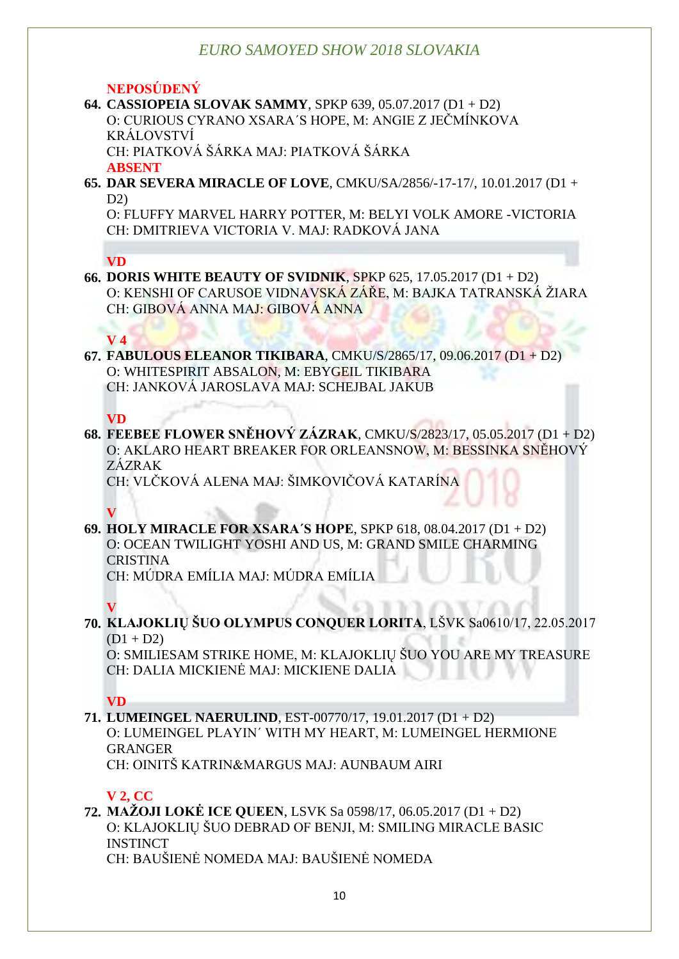#### **NEPOSÚDENÝ**

#### **64. CASSIOPEIA SLOVAK SAMMY**, SPKP 639, 05.07.2017 (D1 + D2) O: CURIOUS CYRANO XSARA´S HOPE, M: ANGIE Z JEČMÍNKOVA KRÁLOVSTVÍ CH: PIATKOVÁ ŠÁRKA MAJ: PIATKOVÁ ŠÁRKA

**ABSENT**

**65. DAR SEVERA MIRACLE OF LOVE**, CMKU/SA/2856/-17-17/, 10.01.2017 (D1 +  $D2$ 

O: FLUFFY MARVEL HARRY POTTER, M: BELYI VOLK AMORE -VICTORIA CH: DMITRIEVA VICTORIA V. MAJ: RADKOVÁ JANA

#### **VD**

**66. DORIS WHITE BEAUTY OF SVIDNIK**, SPKP 625, 17.05.2017 (D1 + D2) O: KENSHI OF CARUSOE VIDNAVSKÁ ZÁŘE, M: BAJKA TATRANSKÁ ŽIARA CH: GIBOVÁ ANNA MAJ: GIBOVÁ ANNA

#### **V 4**

**67. FABULOUS ELEANOR TIKIBARA**, CMKU/S/2865/17, 09.06.2017 (D1 + D2) O: WHITESPIRIT ABSALON, M: EBYGEIL TIKIBARA CH: JANKOVÁ JAROSLAVA MAJ: SCHEJBAL JAKUB

#### **VD**

**68. FEEBEE FLOWER SNĚHOVÝ ZÁZRAK**, CMKU/S/2823/17, 05.05.2017 (D1 + D2) O: AKLARO HEART BREAKER FOR ORLEANSNOW, M: BESSINKA SNĚHOVÝ ZÁZRAK

CH: VLČKOVÁ ALENA MAJ: ŠIMKOVIČOVÁ KATARÍNA

## **V**

**69. HOLY MIRACLE FOR XSARA´S HOPE**, SPKP 618, 08.04.2017 (D1 + D2) O: OCEAN TWILIGHT YOSHI AND US, M: GRAND SMILE CHARMING **CRISTINA** 

CH: MÚDRA EMÍLIA MAJ: MÚDRA EMÍLIA

#### **V**

**70. KLAJOKLIŲ ŠUO OLYMPUS CONQUER LORITA**, LŠVK Sa0610/17, 22.05.2017  $(D1 + D2)$ 

O: SMILIESAM STRIKE HOME, M: KLAJOKLIŲ ŠUO YOU ARE MY TREASURE CH: DALIA MICKIENĖ MAJ: MICKIENE DALIA

### **VD**

**71. LUMEINGEL NAERULIND**, EST-00770/17, 19.01.2017 (D1 + D2) O: LUMEINGEL PLAYIN´ WITH MY HEART, M: LUMEINGEL HERMIONE GRANGER CH: OINITŠ KATRIN&MARGUS MAJ: AUNBAUM AIRI

### **V 2, CC**

**72. MAŽOJI LOKĖ ICE QUEEN**, LSVK Sa 0598/17, 06.05.2017 (D1 + D2) O: KLAJOKLIŲ ŠUO DEBRAD OF BENJI, M: SMILING MIRACLE BASIC **INSTINCT** CH: BAUŠIENĖ NOMEDA MAJ: BAUŠIENĖ NOMEDA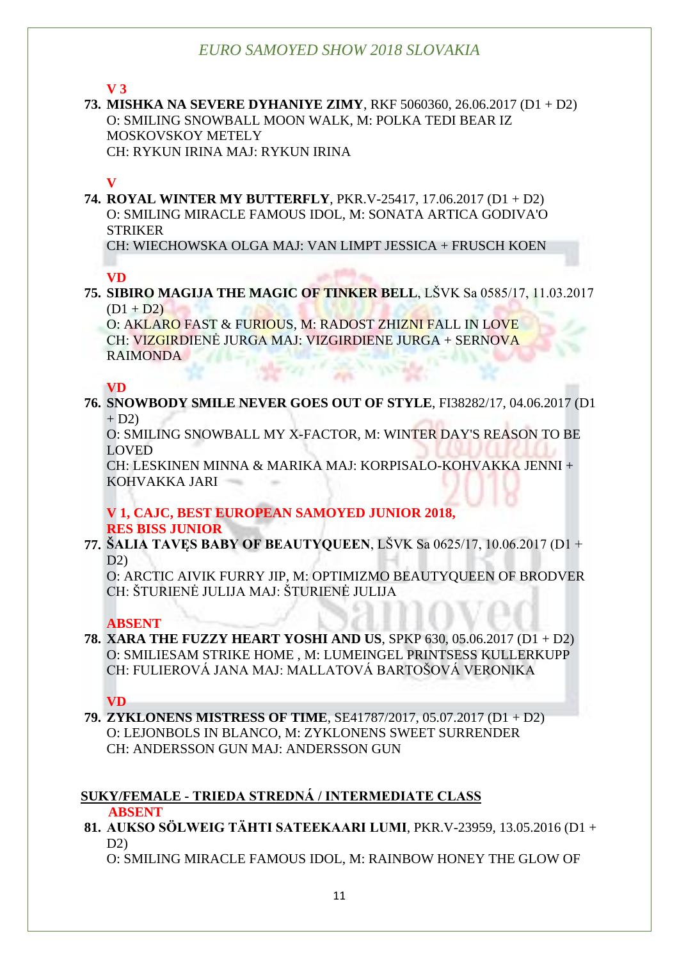**V 3**

**73. MISHKA NA SEVERE DYHANIYE ZIMY**, RKF 5060360, 26.06.2017 (D1 + D2) O: SMILING SNOWBALL MOON WALK, M: POLKA TEDI BEAR IZ MOSKOVSKOY METELY CH: RYKUN IRINA MAJ: RYKUN IRINA

#### **V**

**74. ROYAL WINTER MY BUTTERFLY**, PKR.V-25417, 17.06.2017 (D1 + D2) O: SMILING MIRACLE FAMOUS IDOL, M: SONATA ARTICA GODIVA'O **STRIKER** 

CH: WIECHOWSKA OLGA MAJ: VAN LIMPT JESSICA + FRUSCH KOEN

**VD**

**75. SIBIRO MAGIJA THE MAGIC OF TINKER BELL**, LŠVK Sa 0585/17, 11.03.2017  $(D1 + D2)$ 

O: AKLARO FAST & FURIOUS, M: RADOST ZHIZNI FALL IN LOVE CH: VIZGIRDIENĖ JURGA MAJ: VIZGIRDIENE JURGA + SERNOVA RAIMONDA

**VD**

**76. SNOWBODY SMILE NEVER GOES OUT OF STYLE**, FI38282/17, 04.06.2017 (D1  $+ D2$ 

O: SMILING SNOWBALL MY X-FACTOR, M: WINTER DAY'S REASON TO BE LOVED

CH: LESKINEN MINNA & MARIKA MAJ: KORPISALO-KOHVAKKA JENNI + KOHVAKKA JARI

#### **V 1, CAJC, BEST EUROPEAN SAMOYED JUNIOR 2018, RES BISS JUNIOR**

#### **77. ŠALIA TAVĘS BABY OF BEAUTYQUEEN**, LŠVK Sa 0625/17, 10.06.2017 (D1 + D2)

O: ARCTIC AIVIK FURRY JIP, M: OPTIMIZMO BEAUTYQUEEN OF BRODVER CH: ŠTURIENĖ JULIJA MAJ: ŠTURIENĖ JULIJA

#### **ABSENT**

**78. XARA THE FUZZY HEART YOSHI AND US**, SPKP 630, 05.06.2017 (D1 + D2) O: SMILIESAM STRIKE HOME , M: LUMEINGEL PRINTSESS KULLERKUPP CH: FULIEROVÁ JANA MAJ: MALLATOVÁ BARTOŠOVÁ VERONIKA

**VD**

**79. ZYKLONENS MISTRESS OF TIME**, SE41787/2017, 05.07.2017 (D1 + D2) O: LEJONBOLS IN BLANCO, M: ZYKLONENS SWEET SURRENDER CH: ANDERSSON GUN MAJ: ANDERSSON GUN

## **SUKY/FEMALE - TRIEDA STREDNÁ / INTERMEDIATE CLASS**

 **ABSENT**

**81. AUKSO SÖLWEIG TÄHTI SATEEKAARI LUMI**, PKR.V-23959, 13.05.2016 (D1 +  $D2$ 

O: SMILING MIRACLE FAMOUS IDOL, M: RAINBOW HONEY THE GLOW OF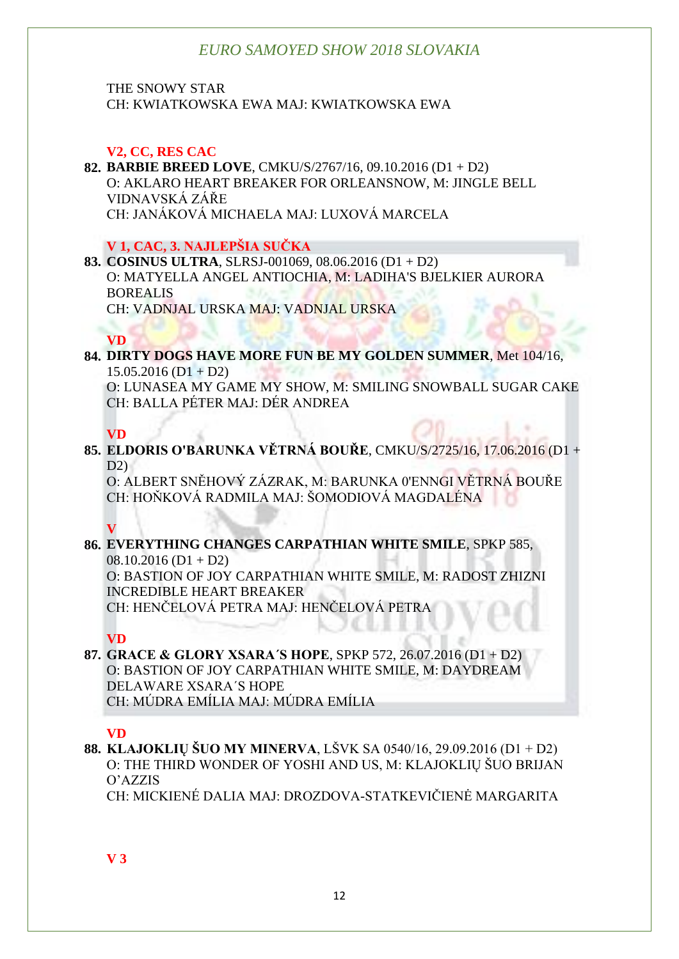THE SNOWY STAR CH: KWIATKOWSKA EWA MAJ: KWIATKOWSKA EWA

#### **V2, CC, RES CAC**

#### **82. BARBIE BREED LOVE**, CMKU/S/2767/16, 09.10.2016 (D1 + D2) O: AKLARO HEART BREAKER FOR ORLEANSNOW, M: JINGLE BELL VIDNAVSKÁ ZÁŘE CH: JANÁKOVÁ MICHAELA MAJ: LUXOVÁ MARCELA

#### **V 1, CAC, 3. NAJLEPŠIA SUČKA**

#### **83. COSINUS ULTRA**, SLRSJ-001069, 08.06.2016 (D1 + D2) O: MATYELLA ANGEL ANTIOCHIA, M: LADIHA'S BJELKIER AURORA BOREALIS CH: VADNJAL URSKA MAJ: VADNJAL URSKA

#### **VD**

#### **84. DIRTY DOGS HAVE MORE FUN BE MY GOLDEN SUMMER**, Met 104/16,  $15.05.2016$  (D1 + D2) O: LUNASEA MY GAME MY SHOW, M: SMILING SNOWBALL SUGAR CAKE CH: BALLA PÉTER MAJ: DÉR ANDREA

#### **VD**

**85. ELDORIS O'BARUNKA VĚTRNÁ BOUŘE**, CMKU/S/2725/16, 17.06.2016 (D1 +  $D2$ 

O: ALBERT SNĚHOVÝ ZÁZRAK, M: BARUNKA 0'ENNGI VĚTRNÁ BOUŘE CH: HOŇKOVÁ RADMILA MAJ: ŠOMODIOVÁ MAGDALÉNA

#### **V**

#### **86. EVERYTHING CHANGES CARPATHIAN WHITE SMILE**, SPKP 585,  $08.10.2016$  (D1 + D2)

O: BASTION OF JOY CARPATHIAN WHITE SMILE, M: RADOST ZHIZNI INCREDIBLE HEART BREAKER CH: HENČELOVÁ PETRA MAJ: HENČELOVÁ PETRA

#### **VD**

#### **87. GRACE & GLORY XSARA´S HOPE**, SPKP 572, 26.07.2016 (D1 + D2) O: BASTION OF JOY CARPATHIAN WHITE SMILE, M: DAYDREAM DELAWARE XSARA´S HOPE CH: MÚDRA EMÍLIA MAJ: MÚDRA EMÍLIA

### **VD**

**88. KLAJOKLIŲ ŠUO MY MINERVA**, LŠVK SA 0540/16, 29.09.2016 (D1 + D2) O: THE THIRD WONDER OF YOSHI AND US, M: KLAJOKLIŲ ŠUO BRIJAN O'AZZIS

CH: MICKIENÉ DALIA MAJ: DROZDOVA-STATKEVIČIENĖ MARGARITA

**V 3**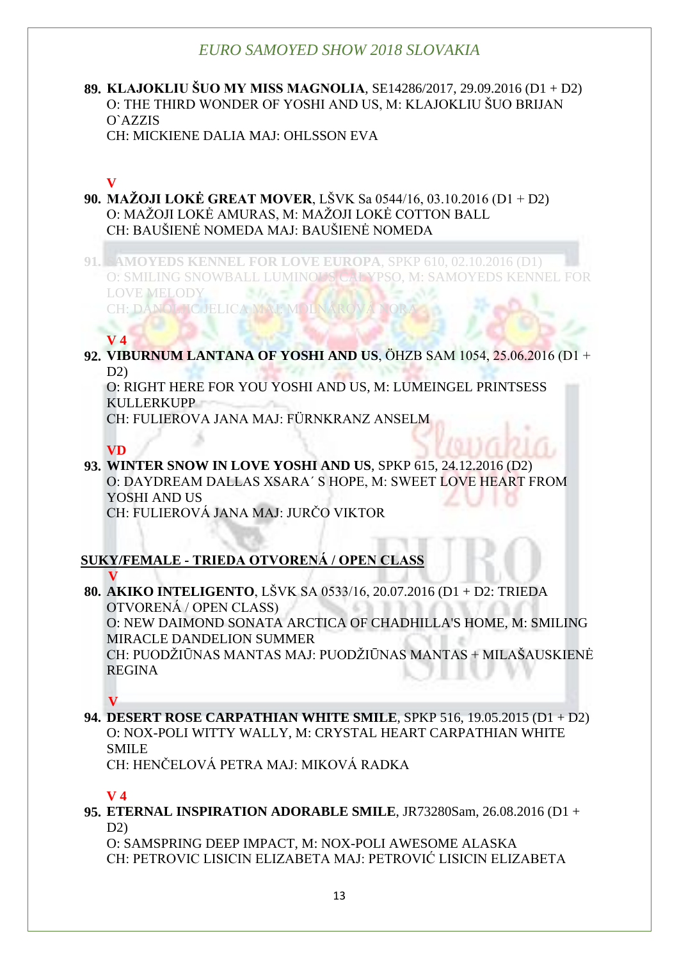#### **89. KLAJOKLIU ŠUO MY MISS MAGNOLIA**, SE14286/2017, 29.09.2016 (D1 + D2) O: THE THIRD WONDER OF YOSHI AND US, M: KLAJOKLIU ŠUO BRIJAN O`AZZIS CH: MICKIENE DALIA MAJ: OHLSSON EVA

# **V**

**90. MAŽOJI LOKĖ GREAT MOVER**, LŠVK Sa 0544/16, 03.10.2016 (D1 + D2) O: MAŽOJI LOKĖ AMURAS, M: MAŽOJI LOKĖ COTTON BALL CH: BAUŠIENĖ NOMEDA MAJ: BAUŠIENĖ NOMEDA

**91. SAMOYEDS KENNEL FOR LOVE EUROPA**, SPKP 610, 02.10.2016 (D1) O: SMILING SNOWBALL LUMINOUS CALYPSO, M: SAMOYEDS KENNEL FOR 335 LOVE MELODY CH: DANOLJIC JELICA MAJ: MOLNÁROV

## **V 4**

**92. VIBURNUM LANTANA OF YOSHI AND US**, ÖHZB SAM 1054, 25.06.2016 (D1 + D2)

O: RIGHT HERE FOR YOU YOSHI AND US, M: LUMEINGEL PRINTSESS KULLERKUPP

CH: FULIEROVA JANA MAJ: FÜRNKRANZ ANSELM

### **VD**

**93. WINTER SNOW IN LOVE YOSHI AND US**, SPKP 615, 24.12.2016 (D2) O: DAYDREAM DALLAS XSARA´ S HOPE, M: SWEET LOVE HEART FROM YOSHI AND US CH: FULIEROVÁ JANA MAJ: JURČO VIKTOR

## **SUKY/FEMALE - TRIEDA OTVORENÁ / OPEN CLASS**

#### **V**

**80. AKIKO INTELIGENTO**, LŠVK SA 0533/16, 20.07.2016 (D1 + D2: TRIEDA OTVORENÁ / OPEN CLASS) O: NEW DAIMOND SONATA ARCTICA OF CHADHILLA'S HOME, M: SMILING MIRACLE DANDELION SUMMER

CH: PUODŽIŪNAS MANTAS MAJ: PUODŽIŪNAS MANTAS + MILAŠAUSKIENĖ REGINA

## **V**

**94. DESERT ROSE CARPATHIAN WHITE SMILE**, SPKP 516, 19.05.2015 (D1 + D2) O: NOX-POLI WITTY WALLY, M: CRYSTAL HEART CARPATHIAN WHITE SMILE

CH: HENČELOVÁ PETRA MAJ: MIKOVÁ RADKA

## **V 4**

**95. ETERNAL INSPIRATION ADORABLE SMILE**, JR73280Sam, 26.08.2016 (D1 +  $D2$ 

O: SAMSPRING DEEP IMPACT, M: NOX-POLI AWESOME ALASKA CH: PETROVIC LISICIN ELIZABETA MAJ: PETROVIĆ LISICIN ELIZABETA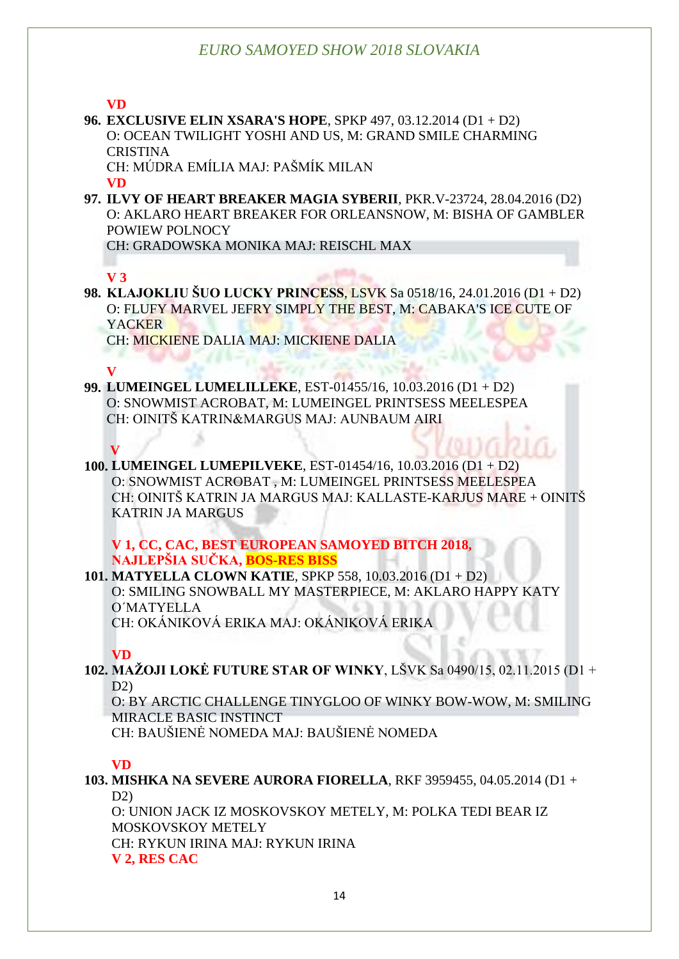**VD**

**96. EXCLUSIVE ELIN XSARA'S HOPE**, SPKP 497, 03.12.2014 (D1 + D2) O: OCEAN TWILIGHT YOSHI AND US, M: GRAND SMILE CHARMING CRISTINA

CH: MÚDRA EMÍLIA MAJ: PAŠMÍK MILAN **VD**

**97. ILVY OF HEART BREAKER MAGIA SYBERII**, PKR.V-23724, 28.04.2016 (D2) O: AKLARO HEART BREAKER FOR ORLEANSNOW, M: BISHA OF GAMBLER POWIEW POLNOCY

CH: GRADOWSKA MONIKA MAJ: REISCHL MAX

## **V 3**

**98. KLAJOKLIU ŠUO LUCKY PRINCESS**, LSVK Sa 0518/16, 24.01.2016 (D1 + D2) O: FLUFY MARVEL JEFRY SIMPLY THE BEST, M: CABAKA'S ICE CUTE OF YACKER

CH: MICKIENE DALIA MAJ: MICKIENE DALIA

### **V**

**99. LUMEINGEL LUMELILLEKE**, EST-01455/16, 10.03.2016 (D1 + D2) O: SNOWMIST ACROBAT, M: LUMEINGEL PRINTSESS MEELESPEA CH: OINITŠ KATRIN&MARGUS MAJ: AUNBAUM AIRI

## **V**

**100. LUMEINGEL LUMEPILVEKE**, EST-01454/16, 10.03.2016 (D1 + D2) O: SNOWMIST ACROBAT , M: LUMEINGEL PRINTSESS MEELESPEA CH: OINITŠ KATRIN JA MARGUS MAJ: KALLASTE-KARJUS MARE + OINITŠ KATRIN JA MARGUS

#### **V 1, CC, CAC, BEST EUROPEAN SAMOYED BITCH 2018, NAJLEPŠIA SUČKA, BOS-RES BISS**

**101. MATYELLA CLOWN KATIE**, SPKP 558, 10.03.2016 (D1 + D2) O: SMILING SNOWBALL MY MASTERPIECE, M: AKLARO HAPPY KATY O´MATYELLA CH: OKÁNIKOVÁ ERIKA MAJ: OKÁNIKOVÁ ERIKA

### **VD**

**102. MAŽOJI LOKĖ FUTURE STAR OF WINKY**, LŠVK Sa 0490/15, 02.11.2015 (D1 +  $D2$ 

O: BY ARCTIC CHALLENGE TINYGLOO OF WINKY BOW-WOW, M: SMILING MIRACLE BASIC INSTINCT

CH: BAUŠIENĖ NOMEDA MAJ: BAUŠIENĖ NOMEDA

### **VD**

**103. MISHKA NA SEVERE AURORA FIORELLA**, RKF 3959455, 04.05.2014 (D1 +

 $D2$ 

O: UNION JACK IZ MOSKOVSKOY METELY, M: POLKA TEDI BEAR IZ MOSKOVSKOY METELY CH: RYKUN IRINA MAJ: RYKUN IRINA **V 2, RES CAC**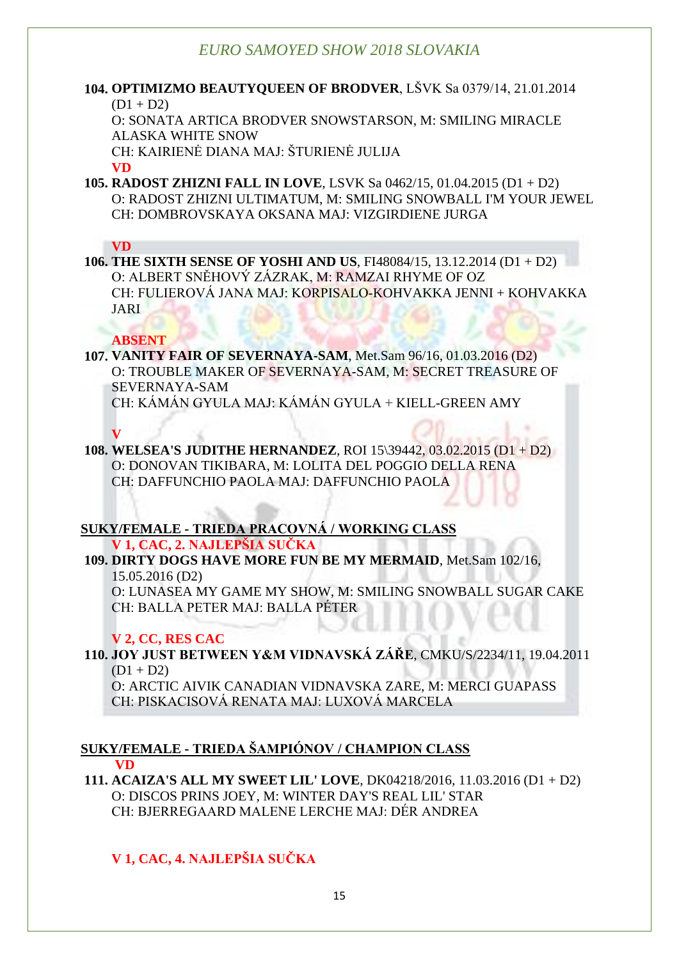#### **104. OPTIMIZMO BEAUTYQUEEN OF BRODVER**, LŠVK Sa 0379/14, 21.01.2014  $(D1 + D2)$

O: SONATA ARTICA BRODVER SNOWSTARSON, M: SMILING MIRACLE ALASKA WHITE SNOW

CH: KAIRIENĖ DIANA MAJ: ŠTURIENĖ JULIJA

**VD**

**105. RADOST ZHIZNI FALL IN LOVE**, LSVK Sa 0462/15, 01.04.2015 (D1 + D2) O: RADOST ZHIZNI ULTIMATUM, M: SMILING SNOWBALL I'M YOUR JEWEL CH: DOMBROVSKAYA OKSANA MAJ: VIZGIRDIENE JURGA

#### **VD**

**106. THE SIXTH SENSE OF YOSHI AND US**, FI48084/15, 13.12.2014 (D1 + D2) O: ALBERT SNĚHOVÝ ZÁZRAK, M: RAMZAI RHYME OF OZ CH: FULIEROVÁ JANA MAJ: KORPISALO-KOHVAKKA JENNI + KOHVAKKA JARI

#### **ABSENT**

**107. VANITY FAIR OF SEVERNAYA-SAM**, Met.Sam 96/16, 01.03.2016 (D2) O: TROUBLE MAKER OF SEVERNAYA-SAM, M: SECRET TREASURE OF SEVERNAYA-SAM CH: KÁMÁN GYULA MAJ: KÁMÁN GYULA + KIELL-GREEN AMY

**V**

**108. WELSEA'S JUDITHE HERNANDEZ**, ROI 15\39442, 03.02.2015 (D1 + D2) O: DONOVAN TIKIBARA, M: LOLITA DEL POGGIO DELLA RENA CH: DAFFUNCHIO PAOLA MAJ: DAFFUNCHIO PAOLA

### **SUKY/FEMALE - TRIEDA PRACOVNÁ / WORKING CLASS**

**V 1, CAC, 2. NAJLEPŠIA SUČKA**

**109. DIRTY DOGS HAVE MORE FUN BE MY MERMAID**, Met.Sam 102/16, 15.05.2016 (D2)

O: LUNASEA MY GAME MY SHOW, M: SMILING SNOWBALL SUGAR CAKE CH: BALLA PETER MAJ: BALLA PÉTER

### **V 2, CC, RES CAC**

**110. JOY JUST BETWEEN Y&M VIDNAVSKÁ ZÁŘE**, CMKU/S/2234/11, 19.04.2011  $(D1 + D2)$ 

O: ARCTIC AIVIK CANADIAN VIDNAVSKA ZARE, M: MERCI GUAPASS CH: PISKACISOVÁ RENATA MAJ: LUXOVÁ MARCELA

#### **SUKY/FEMALE - TRIEDA ŠAMPIÓNOV / CHAMPION CLASS VD**

**111. ACAIZA'S ALL MY SWEET LIL' LOVE**, DK04218/2016, 11.03.2016 (D1 + D2) O: DISCOS PRINS JOEY, M: WINTER DAY'S REAL LIL' STAR CH: BJERREGAARD MALENE LERCHE MAJ: DÉR ANDREA

## **V 1, CAC, 4. NAJLEPŠIA SUČKA**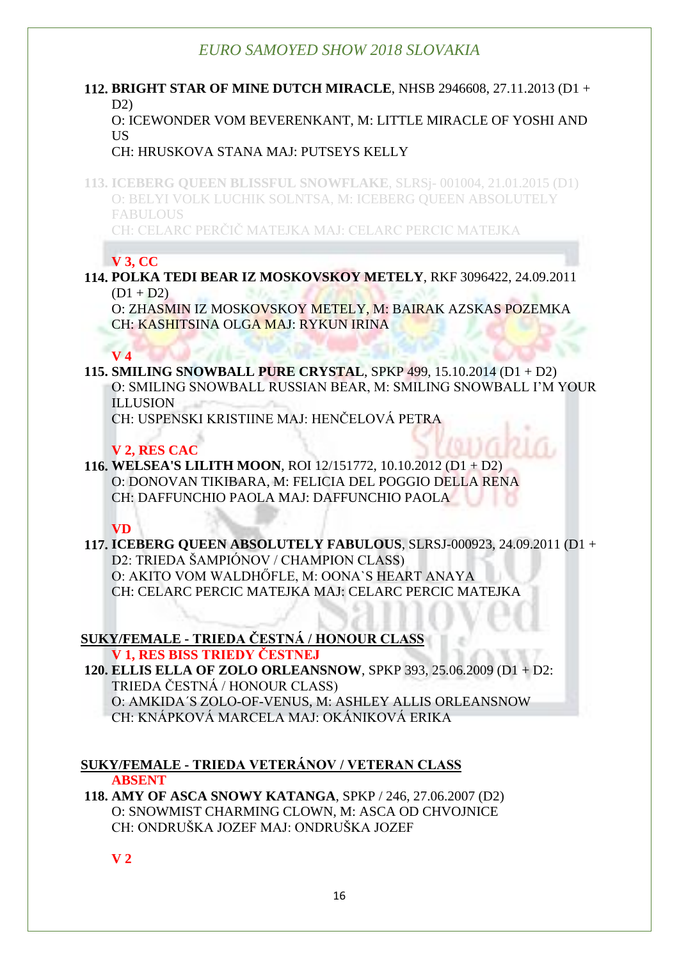#### **112. BRIGHT STAR OF MINE DUTCH MIRACLE**, NHSB 2946608, 27.11.2013 (D1 + D2)

O: ICEWONDER VOM BEVERENKANT, M: LITTLE MIRACLE OF YOSHI AND **US** 

#### CH: HRUSKOVA STANA MAJ: PUTSEYS KELLY

**113. ICEBERG QUEEN BLISSFUL SNOWFLAKE**, SLRSj- 001004, 21.01.2015 (D1) O: BELYI VOLK LUCHIK SOLNTSA, M: ICEBERG QUEEN ABSOLUTELY FABULOUS

CH: CELARC PERČIČ MATEJKA MAJ: CELARC PERCIC MATEJKA

## **V 3, CC**

**114. POLKA TEDI BEAR IZ MOSKOVSKOY METELY**, RKF 3096422, 24.09.2011  $(D1 + D2)$ 

O: ZHASMIN IZ MOSKOVSKOY METELY, M: BAIRAK AZSKAS POZEMKA CH: KASHITSINA OLGA MAJ: RYKUN IRINA

### **V 4**

**115. SMILING SNOWBALL PURE CRYSTAL**, SPKP 499, 15.10.2014 (D1 + D2) O: SMILING SNOWBALL RUSSIAN BEAR, M: SMILING SNOWBALL I'M YOUR ILLUSION

CH: USPENSKI KRISTIINE MAJ: HENČELOVÁ PETRA

### **V 2, RES CAC**

#### **116. WELSEA'S LILITH MOON**, ROI 12/151772, 10.10.2012 (D1 + D2) O: DONOVAN TIKIBARA, M: FELICIA DEL POGGIO DELLA RENA CH: DAFFUNCHIO PAOLA MAJ: DAFFUNCHIO PAOLA

 **VD**

**117. ICEBERG QUEEN ABSOLUTELY FABULOUS**, SLRSJ-000923, 24.09.2011 (D1 + D2: TRIEDA ŠAMPIÓNOV / CHAMPION CLASS) O: AKITO VOM WALDHŐFLE, M: OONA`S HEART ANAYA CH: CELARC PERCIC MATEJKA MAJ: CELARC PERCIC MATEJKA

#### **SUKY/FEMALE - TRIEDA ČESTNÁ / HONOUR CLASS V 1, RES BISS TRIEDY ČESTNEJ**

**120. ELLIS ELLA OF ZOLO ORLEANSNOW**, SPKP 393, 25.06.2009 (D1 + D2: TRIEDA ČESTNÁ / HONOUR CLASS) O: AMKIDA´S ZOLO-OF-VENUS, M: ASHLEY ALLIS ORLEANSNOW CH: KNÁPKOVÁ MARCELA MAJ: OKÁNIKOVÁ ERIKA

#### **SUKY/FEMALE - TRIEDA VETERÁNOV / VETERAN CLASS ABSENT**

**118. AMY OF ASCA SNOWY KATANGA**, SPKP / 246, 27.06.2007 (D2) O: SNOWMIST CHARMING CLOWN, M: ASCA OD CHVOJNICE CH: ONDRUŠKA JOZEF MAJ: ONDRUŠKA JOZEF

**V 2**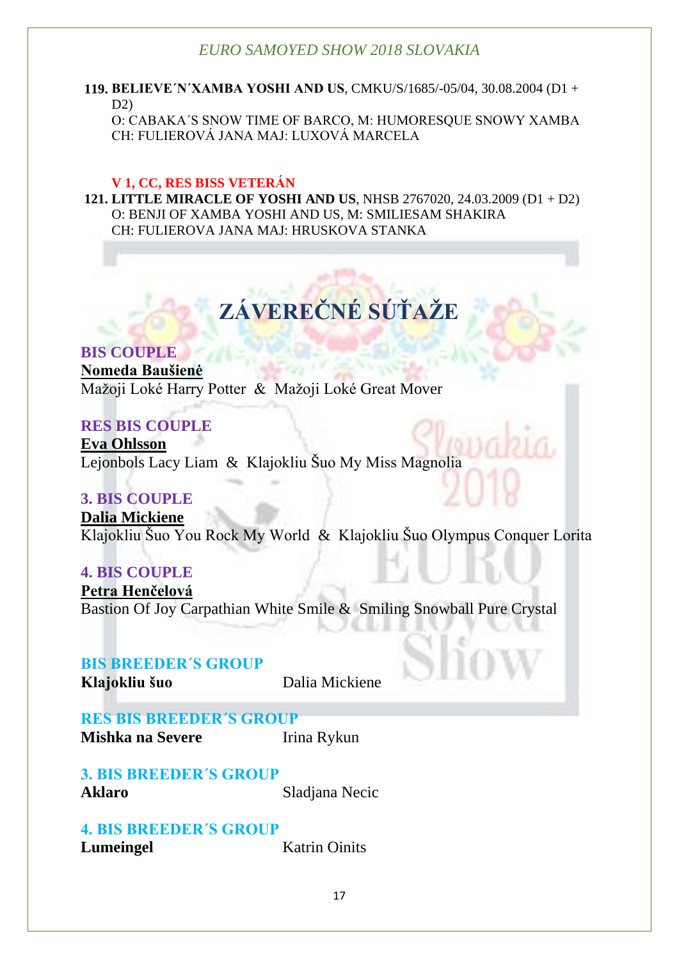**119. BELIEVE´N´XAMBA YOSHI AND US**, CMKU/S/1685/-05/04, 30.08.2004 (D1 + D2)

O: CABAKA´S SNOW TIME OF BARCO, M: HUMORESQUE SNOWY XAMBA CH: FULIEROVÁ JANA MAJ: LUXOVÁ MARCELA

#### **V 1, CC, RES BISS VETERÁN**

**121. LITTLE MIRACLE OF YOSHI AND US**, NHSB 2767020, 24.03.2009 (D1 + D2) O: BENJI OF XAMBA YOSHI AND US, M: SMILIESAM SHAKIRA CH: FULIEROVA JANA MAJ: HRUSKOVA STANKA

# **ZÁVEREČNÉ SÚŤAŽE**

**BIS COUPLE Nomeda Baušienė** Mažoji Loké Harry Potter & Mažoji Loké Great Mover

### **RES BIS COUPLE**

**Eva Ohlsson** Lejonbols Lacy Liam & Klajokliu Šuo My Miss Magnolia

## **3. BIS COUPLE**

**Dalia Mickiene** Klajokliu Šuo You Rock My World & Klajokliu Šuo Olympus Conquer Lorita

### **4. BIS COUPLE**

**Petra Henčelová** Bastion Of Joy Carpathian White Smile & Smiling Snowball Pure Crystal

### **BIS BREEDER´S GROUP**

**Klajokliu šuo** Dalia Mickiene

**RES BIS BREEDER´S GROUP Mishka na Severe** Irina Rykun

**3. BIS BREEDER´S GROUP Aklaro** Sladjana Necic

**4. BIS BREEDER´S GROUP Lumeingel** Katrin Oinits